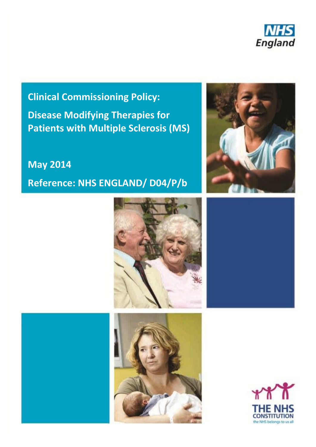

# **Clinical Commissioning Policy: Clinical Commissioning Policy: Disease Modifying Therapies for Disease Modifying Therapies for (MS) Patients with Multiple Sclerosis (MS)**

# **May 2014 May 2014**

# **D04/P/b Reference: NHS ENGLAND/ D04/P/b**







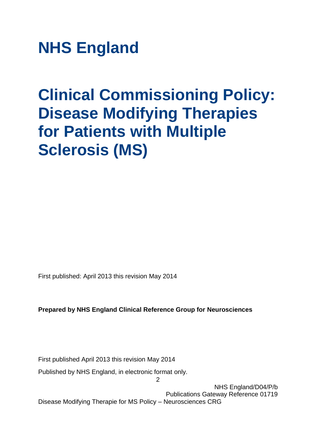**NHS England** 

# **Clinical Commissioning Policy: Disease Modifying Therapies for Patients with Multiple Sclerosis (MS)**

First published: April 2013 this revision May 2014

**Prepared by NHS England Clinical Reference Group for Neurosciences**

First published April 2013 this revision May 2014

Published by NHS England, in electronic format only.

NHS England/D04/P/b Publications Gateway Reference 01719 Disease Modifying Therapie for MS Policy – Neurosciences CRG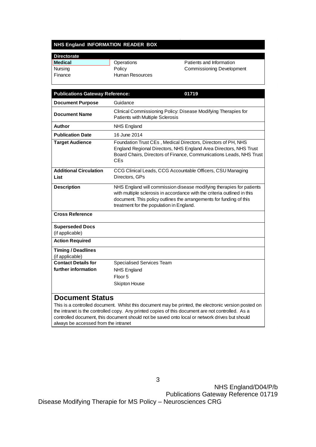#### **NHS England INFORMATION READER BOX**

| <b>Directorate</b> |                 |                                  |
|--------------------|-----------------|----------------------------------|
| <b>Medical</b>     | Operations      | Patients and Information         |
| Nursing            | Policy          | <b>Commissioning Development</b> |
| Finance            | Human Resources |                                  |

| <b>Publications Gateway Reference:</b>       | 01719                                                                                                                                                                                                                                                               |  |  |
|----------------------------------------------|---------------------------------------------------------------------------------------------------------------------------------------------------------------------------------------------------------------------------------------------------------------------|--|--|
| <b>Document Purpose</b>                      | Guidance                                                                                                                                                                                                                                                            |  |  |
| <b>Document Name</b>                         | Clinical Commissioning Policy: Disease Modifying Therapies for<br>Patients with Multiple Sclerosis                                                                                                                                                                  |  |  |
| Author                                       | <b>NHS England</b>                                                                                                                                                                                                                                                  |  |  |
| <b>Publication Date</b>                      | 16 June 2014                                                                                                                                                                                                                                                        |  |  |
| <b>Target Audience</b>                       | Foundation Trust CEs, Medical Directors, Directors of PH, NHS<br>England Regional Directors, NHS England Area Directors, NHS Trust<br>Board Chairs, Directors of Finance, Communications Leads, NHS Trust<br>CEs                                                    |  |  |
| <b>Additional Circulation</b><br>List        | CCG Clinical Leads, CCG Accountable Officers, CSU Managing<br>Directors, GPs                                                                                                                                                                                        |  |  |
| <b>Description</b>                           | NHS England will commission disease modifying therapies for patients<br>with multiple sclerosis in accordance with the criteria outlined in this<br>document. This policy outlines the arrangements for funding of this<br>treatment for the population in England. |  |  |
| <b>Cross Reference</b>                       |                                                                                                                                                                                                                                                                     |  |  |
| <b>Superseded Docs</b><br>(if applicable)    |                                                                                                                                                                                                                                                                     |  |  |
| <b>Action Required</b>                       |                                                                                                                                                                                                                                                                     |  |  |
| <b>Timing / Deadlines</b><br>(if applicable) |                                                                                                                                                                                                                                                                     |  |  |
| <b>Contact Details for</b>                   | <b>Specialised Services Team</b>                                                                                                                                                                                                                                    |  |  |
| further information                          | <b>NHS England</b>                                                                                                                                                                                                                                                  |  |  |
|                                              | Floor 5                                                                                                                                                                                                                                                             |  |  |
|                                              | <b>Skipton House</b>                                                                                                                                                                                                                                                |  |  |
| <b>Document Status</b>                       | This is a controlled decument. Whilet this decument moy be printed, the electronic version posted on                                                                                                                                                                |  |  |

This is a controlled document. Whilst this document may be printed, the electronic version posted on the intranet is the controlled copy. Any printed copies of this document are not controlled. As a controlled document, this document should not be saved onto local or network drives but should always be accessed from the intranet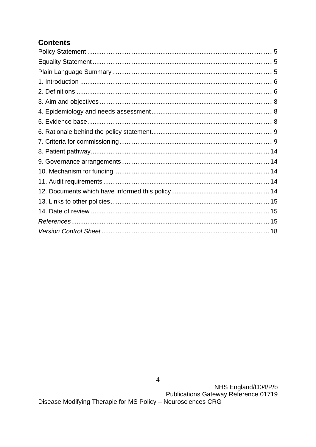# **Contents**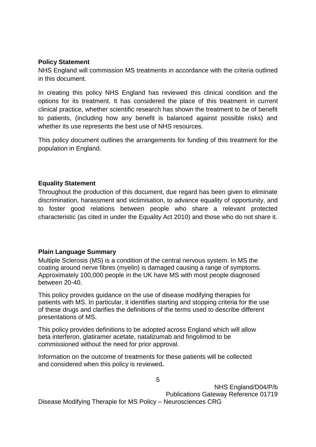#### <span id="page-4-0"></span>**Policy Statement**

NHS England will commission MS treatments in accordance with the criteria outlined in this document.

In creating this policy NHS England has reviewed this clinical condition and the options for its treatment. It has considered the place of this treatment in current clinical practice, whether scientific research has shown the treatment to be of benefit to patients, (including how any benefit is balanced against possible risks) and whether its use represents the best use of NHS resources.

This policy document outlines the arrangements for funding of this treatment for the population in England.

# <span id="page-4-1"></span>**Equality Statement**

Throughout the production of this document, due regard has been given to eliminate discrimination, harassment and victimisation, to advance equality of opportunity, and to foster good relations between people who share a relevant protected characteristic (as cited in under the Equality Act 2010) and those who do not share it.

#### <span id="page-4-2"></span>**Plain Language Summary**

Multiple Sclerosis (MS) is a condition of the central nervous system. In MS the coating around nerve fibres (myelin) is damaged causing a range of symptoms. Approximately 100,000 people in the UK have MS with most people diagnosed between 20-40.

This policy provides guidance on the use of disease modifying therapies for patients with MS. In particular, it identifies starting and stopping criteria for the use of these drugs and clarifies the definitions of the terms used to describe different presentations of MS.

This policy provides definitions to be adopted across England which will allow beta interferon, glatiramer acetate, natalizumab and fingolimod to be commissioned without the need for prior approval.

Information on the outcome of treatments for these patients will be collected and considered when this policy is reviewed**.**

NHS England/D04/P/b Publications Gateway Reference 01719 Disease Modifying Therapie for MS Policy – Neurosciences CRG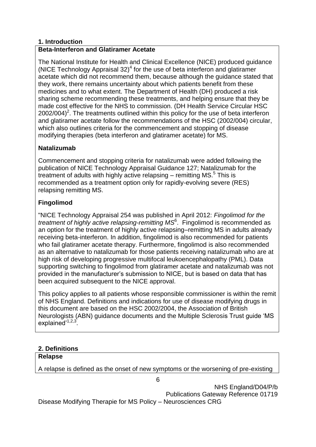# <span id="page-5-0"></span>**1. Introduction**

# **Beta-Interferon and Glatiramer Acetate**

The National Institute for Health and Clinical Excellence (NICE) produced guidance (NICE Technology Appraisal 32) $<sup>4</sup>$  for the use of beta interferon and glatiramer</sup> acetate which did not recommend them, because although the guidance stated that they work, there remains uncertainty about which patients benefit from these medicines and to what extent. The Department of Health (DH) produced a risk sharing scheme recommending these treatments, and helping ensure that they be made cost effective for the NHS to commission. (DH Health Service Circular HSC  $2002/004$ <sup>2</sup>. The treatments outlined within this policy for the use of beta interferon and glatiramer acetate follow the recommendations of the HSC (2002/004) circular, which also outlines criteria for the commencement and stopping of disease modifying therapies (beta interferon and glatiramer acetate) for MS.

# **Natalizumab**

Commencement and stopping criteria for natalizumab were added following the publication of NICE Technology Appraisal Guidance 127; Natalizumab for the treatment of adults with highly active relapsing  $-$  remitting MS.<sup>5</sup> This is recommended as a treatment option only for rapidly-evolving severe (RES) relapsing remitting MS.

# **Fingolimod**

"NICE Technology Appraisal 254 was published in April 2012: *Fingolimod for the treatment of highly active relapsing-remitting MS*<sup>6</sup> . Fingolimod is recommended as an option for the treatment of highly active relapsing–remitting MS in adults already receiving beta-interferon. In addition, fingolimod is also recommended for patients who fail glatiramer acetate therapy. Furthermore, fingolimod is also recommended as an alternative to natalizumab for those patients receiving natalizumab who are at high risk of developing progressive multifocal leukoencephalopathy (PML). Data supporting switching to fingolimod from glatiramer acetate and natalizumab was not provided in the manufacturer's submission to NICE, but is based on data that has been acquired subsequent to the NICE approval.

This policy applies to all patients whose responsible commissioner is within the remit of NHS England. Definitions and indications for use of disease modifying drugs in this document are based on the HSC 2002/2004, the Association of British Neurologists (ABN) guidance documents and the Multiple Sclerosis Trust guide 'MS explained<sup>'1,2,3</sup>.

# <span id="page-5-1"></span>**2. Definitions**

# **Relapse**

A relapse is defined as the onset of new symptoms or the worsening of pre-existing

NHS England/D04/P/b Publications Gateway Reference 01719 Disease Modifying Therapie for MS Policy – Neurosciences CRG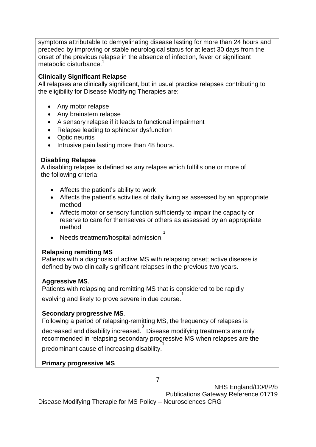symptoms attributable to demyelinating disease lasting for more than 24 hours and preceded by improving or stable neurological status for at least 30 days from the onset of the previous relapse in the absence of infection, fever or significant metabolic disturbance.<sup>1</sup>

# **Clinically Significant Relapse**

All relapses are clinically significant, but in usual practice relapses contributing to the eligibility for Disease Modifying Therapies are:

- Any motor relapse
- Any brainstem relapse
- A sensory relapse if it leads to functional impairment
- Relapse leading to sphincter dysfunction
- Optic neuritis
- Intrusive pain lasting more than 48 hours.

#### **Disabling Relapse**

A disabling relapse is defined as any relapse which fulfills one or more of the following criteria:

- Affects the patient's ability to work
- Affects the patient's activities of daily living as assessed by an appropriate method
- Affects motor or sensory function sufficiently to impair the capacity or reserve to care for themselves or others as assessed by an appropriate method
- Needs treatment/hospital admission. 1

#### **Relapsing remitting MS**

Patients with a diagnosis of active MS with relapsing onset; active disease is defined by two clinically significant relapses in the previous two years.

#### **Aggressive MS**.

Patients with relapsing and remitting MS that is considered to be rapidly evolving and likely to prove severe in due course. 1

# **Secondary progressive MS***.*

Following a period of relapsing-remitting MS, the frequency of relapses is

decreased and disability increased. 3 Disease modifying treatments are only recommended in relapsing secondary progressive MS when relapses are the 1

predominant cause of increasing disability.

# **Primary progressive MS**

7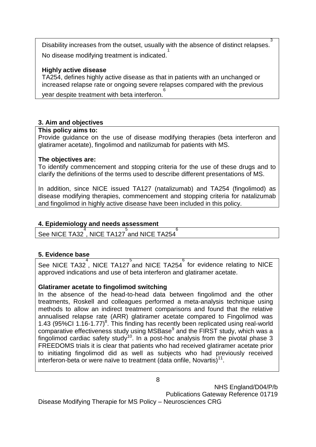Disability increases from the outset, usually with the absence of distinct relapses. 3 No disease modifying treatment is indicated. 1

#### **Highly active disease**

TA254, defines highly active disease as that in patients with an unchanged or increased relapse rate or ongoing severe relapses compared with the previous

year despite treatment with beta interferon. 6

# <span id="page-7-0"></span>**3. Aim and objectives**

#### **This policy aims to:**

Provide guidance on the use of disease modifying therapies (beta interferon and glatiramer acetate), fingolimod and natilizumab for patients with MS.

# **The objectives are:**

To identify commencement and stopping criteria for the use of these drugs and to clarify the definitions of the terms used to describe different presentations of MS.

In addition, since NICE issued TA127 (natalizumab) and TA254 (fingolimod) as disease modifying therapies, commencement and stopping criteria for natalizumab and fingolimod in highly active disease have been included in this policy.

# <span id="page-7-1"></span>**4. Epidemiology and needs assessment**

<span id="page-7-2"></span>See NICE TA32, NICE TA127 and NICE TA254

# **5. Evidence base**

See NICE TA32<sup>4</sup>, NICE TA127 and NICE TA254 for evidence relating to NICE approved indications and use of beta interferon and glatiramer acetate.

# **Glatiramer acetate to fingolimod switching**

In the absence of the head-to-head data between fingolimod and the other treatments, Roskell and colleagues performed a meta-analysis technique using methods to allow an indirect treatment comparisons and found that the relative annualised relapse rate (ARR) glatiramer acetate compared to Fingolimod was 1.43 (95%CI 1.16-1.77) $8$ . This finding has recently been replicated using real-world comparative effectiveness study using MSBase<sup>9</sup> and the FIRST study, which was a fingolimod cardiac safety study<sup>10</sup>. In a post-hoc analysis from the pivotal phase 3 FREEDOMS trials it is clear that patients who had received glatiramer acetate prior to initiating fingolimod did as well as subjects who had previously received interferon-beta or were naïve to treatment (data onfile, Novartis)<sup>11</sup>.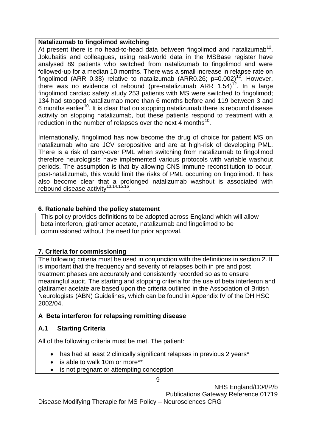#### **Natalizumab to fingolimod switching**

At present there is no head-to-head data between fingolimod and natalizumab<sup>12</sup>. Jokubaitis and colleagues, using real-world data in the MSBase register have analysed 89 patients who switched from natalizumab to fingolimod and were followed-up for a median 10 months. There was a small increase in relapse rate on fingolimod (ARR 0.38) relative to natalizumab (ARR0.26; p=0.002) $12$ . However, there was no evidence of rebound (pre-natalizumab ARR  $1.54$ <sup>12</sup>. In a large fingolimod cardiac safety study 253 patients with MS were switched to fingolimod; 134 had stopped natalizumab more than 6 months before and 119 between 3 and 6 months earlier<sup>10</sup>. It is clear that on stopping natalizumab there is rebound disease activity on stopping natalizumab, but these patients respond to treatment with a reduction in the number of relapses over the next 4 months $^{10}$ .

Internationally, fingolimod has now become the drug of choice for patient MS on natalizumab who are JCV seropositive and are at high-risk of developing PML. There is a risk of carry-over PML when switching from natalizumab to fingolimod therefore neurologists have implemented various protocols with variable washout periods. The assumption is that by allowing CNS immune reconstitution to occur, post-natalizumab, this would limit the risks of PML occurring on fingolimod. It has also become clear that a prolonged natalizumab washout is associated with rebound disease activity<sup>13,14,15,16</sup>.

# <span id="page-8-0"></span>**6. Rationale behind the policy statement**

This policy provides definitions to be adopted across England which will allow beta interferon, glatiramer acetate, natalizumab and fingolimod to be commissioned without the need for prior approval.

# <span id="page-8-1"></span>**7. Criteria for commissioning**

The following criteria must be used in conjunction with the definitions in section 2. It is important that the frequency and severity of relapses both in pre and post treatment phases are accurately and consistently recorded so as to ensure meaningful audit. The starting and stopping criteria for the use of beta interferon and glatiramer acetate are based upon the criteria outlined in the Association of British Neurologists (ABN) Guidelines, which can be found in Appendix IV of the DH HSC 2002/04.

# **A Beta interferon for relapsing remitting disease**

# **A.1 Starting Criteria**

All of the following criteria must be met. The patient:

- has had at least 2 clinically significant relapses in previous 2 years\*
- is able to walk 10m or more\*\*
- is not pregnant or attempting conception

9

NHS England/D04/P/b

Publications Gateway Reference 01719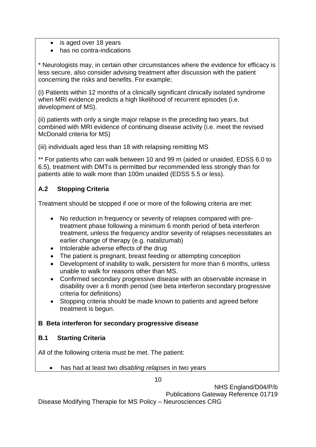- is aged over 18 years
- has no contra-indications

\* Neurologists may, in certain other circumstances where the evidence for efficacy is less secure, also consider advising treatment after discussion with the patient concerning the risks and benefits. For example;

(i) Patients within 12 months of a clinically significant clinically isolated syndrome when MRI evidence predicts a high likelihood of recurrent episodes (i.e. development of MS).

(ii) patients with only a single major relapse in the preceding two years, but combined with MRI evidence of continuing disease activity (i.e. meet the revised McDonald criteria for MS)

(iii) individuals aged less than 18 with relapsing remitting MS

\*\* For patients who can walk between 10 and 99 m (aided or unaided, EDSS 6.0 to 6.5), treatment with DMTs is permitted bur recommended less strongly than for patients able to walk more than 100m unaided (EDSS 5.5 or less).

# **A.2 Stopping Criteria**

Treatment should be stopped if one or more of the following criteria are met:

- No reduction in frequency or severity of relapses compared with pretreatment phase following a minimum 6 month period of beta interferon treatment, unless the frequency and/or severity of relapses necessitates an earlier change of therapy (e.g. natalizumab)
- Intolerable adverse effects of the drug
- The patient is pregnant, breast feeding or attempting conception
- Development of inability to walk, persistent for more than 6 months, unless unable to walk for reasons other than MS.
- Confirmed secondary progressive disease with an observable increase in disability over a 6 month period (see beta interferon secondary progressive criteria for definitions)
- Stopping criteria should be made known to patients and agreed before treatment is begun.

# **B Beta interferon for secondary progressive disease**

# **B.1 Starting Criteria**

All of the following criteria must be met. The patient:

has had at least two *disabling relapses* in two years

10

NHS England/D04/P/b Publications Gateway Reference 01719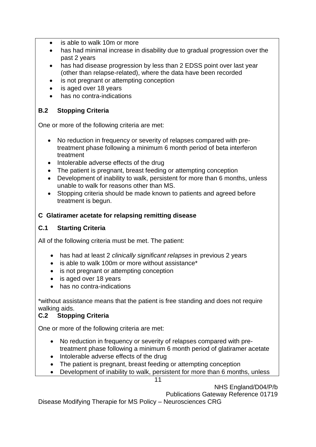- is able to walk 10m or more
- has had minimal increase in disability due to gradual progression over the past 2 years
- has had disease progression by less than 2 EDSS point over last year (other than relapse-related), where the data have been recorded
- is not pregnant or attempting conception
- is aged over 18 years
- has no contra-indications

# **B.2 Stopping Criteria**

One or more of the following criteria are met:

- No reduction in frequency or severity of relapses compared with pretreatment phase following a minimum 6 month period of beta interferon treatment
- Intolerable adverse effects of the drug
- The patient is pregnant, breast feeding or attempting conception
- Development of inability to walk, persistent for more than 6 months, unless unable to walk for reasons other than MS.
- Stopping criteria should be made known to patients and agreed before treatment is begun.

# **C Glatiramer acetate for relapsing remitting disease**

# **C.1 Starting Criteria**

All of the following criteria must be met. The patient:

- has had at least 2 *clinically significant relapses* in previous 2 years
- is able to walk 100m or more without assistance\*
- is not pregnant or attempting conception
- is aged over 18 years
- has no contra-indications

\*without assistance means that the patient is free standing and does not require walking aids.

# **C.2 Stopping Criteria**

One or more of the following criteria are met:

- No reduction in frequency or severity of relapses compared with pretreatment phase following a minimum 6 month period of glatiramer acetate
- Intolerable adverse effects of the drug
- The patient is pregnant, breast feeding or attempting conception
- Development of inability to walk, persistent for more than 6 months, unless

11

NHS England/D04/P/b

Publications Gateway Reference 01719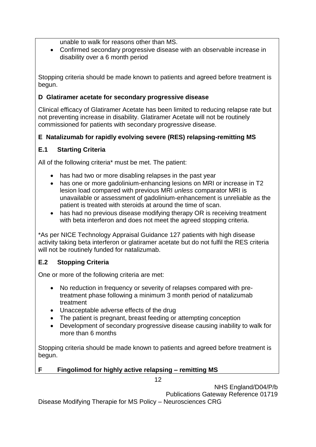unable to walk for reasons other than MS.

 Confirmed secondary progressive disease with an observable increase in disability over a 6 month period

Stopping criteria should be made known to patients and agreed before treatment is begun.

# **D Glatiramer acetate for secondary progressive disease**

Clinical efficacy of Glatiramer Acetate has been limited to reducing relapse rate but not preventing increase in disability. Glatiramer Acetate will not be routinely commissioned for patients with secondary progressive disease.

# **E Natalizumab for rapidly evolving severe (RES) relapsing-remitting MS**

# **E.1 Starting Criteria**

All of the following criteria\* must be met. The patient:

- has had two or more disabling relapses in the past year
- has one or more gadolinium-enhancing lesions on MRI or increase in T2 lesion load compared with previous MRI *unless* comparator MRI is unavailable or assessment of gadolinium-enhancement is unreliable as the patient is treated with steroids at around the time of scan.
- has had no previous disease modifying therapy OR is receiving treatment with beta interferon and does not meet the agreed stopping criteria.

\*As per NICE Technology Appraisal Guidance 127 patients with high disease activity taking beta interferon or glatiramer acetate but do not fulfil the RES criteria will not be routinely funded for natalizumab.

# **E.2 Stopping Criteria**

One or more of the following criteria are met:

- No reduction in frequency or severity of relapses compared with pretreatment phase following a minimum 3 month period of natalizumab treatment
- Unacceptable adverse effects of the drug
- The patient is pregnant, breast feeding or attempting conception
- Development of secondary progressive disease causing inability to walk for more than 6 months

Stopping criteria should be made known to patients and agreed before treatment is begun.

# **F Fingolimod for highly active relapsing – remitting MS**

12

NHS England/D04/P/b Publications Gateway Reference 01719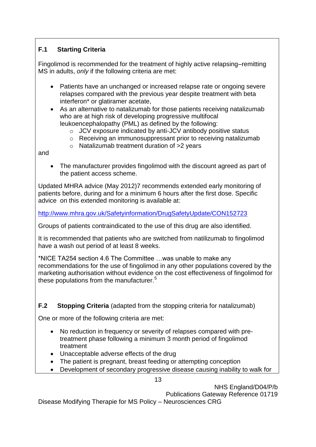# **F.1 Starting Criteria**

Fingolimod is recommended for the treatment of highly active relapsing–remitting MS in adults, *only* if the following criteria are met:

- Patients have an unchanged or increased relapse rate or ongoing severe relapses compared with the previous year despite treatment with beta interferon\* or glatiramer acetate,
- As an alternative to natalizumab for those patients receiving natalizumab who are at high risk of developing progressive multifocal leukoencephalopathy (PML) as defined by the following:
	- o JCV exposure indicated by anti-JCV antibody positive status
	- o Receiving an immunosuppressant prior to receiving natalizumab
	- o Natalizumab treatment duration of >2 years

and

 The manufacturer provides fingolimod with the discount agreed as part of the patient access scheme.

Updated MHRA advice (May 2012)7 recommends extended early monitoring of patients before, during and for a minimum 6 hours after the first dose. Specific advice on this extended monitoring is available at:

<http://www.mhra.gov.uk/Safetyinformation/DrugSafetyUpdate/CON152723>

Groups of patients contraindicated to the use of this drug are also identified.

It is recommended that patients who are switched from natilizumab to fingolimod have a wash out period of at least 8 weeks.

\*NICE TA254 section 4.6 The Committee …was unable to make any recommendations for the use of fingolimod in any other populations covered by the marketing authorisation without evidence on the cost effectiveness of fingolimod for these populations from the manufacturer.<sup>5</sup>

# **F.2 Stopping Criteria** (adapted from the stopping criteria for natalizumab)

One or more of the following criteria are met:

- No reduction in frequency or severity of relapses compared with pretreatment phase following a minimum 3 month period of fingolimod treatment
- Unacceptable adverse effects of the drug
- The patient is pregnant, breast feeding or attempting conception
- Development of secondary progressive disease causing inability to walk for

NHS England/D04/P/b

Publications Gateway Reference 01719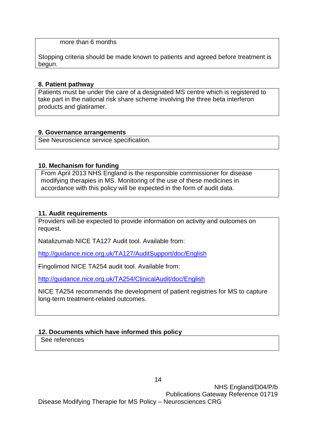#### more than 6 months

Stopping criteria should be made known to patients and agreed before treatment is begun.

#### <span id="page-13-0"></span>**8. Patient pathway**

Patients must be under the care of a designated MS centre which is registered to take part in the national risk share scheme involving the three beta interferon products and glatiramer.

#### <span id="page-13-1"></span>**9. Governance arrangements**

See Neuroscience service specification.

#### <span id="page-13-2"></span>**10. Mechanism for funding**

From April 2013 NHS England is the responsible commissioner for disease modifying therapies in MS. Monitoring of the use of these medicines in accordance with this policy will be expected in the form of audit data.

#### <span id="page-13-3"></span>**11. Audit requirements**

Providers will be expected to provide information on activity and outcomes on request.

Natalizumab NICE TA127 Audit tool. Available from:

<http://guidance.nice.org.uk/TA127/AuditSupport/doc/English>

Fingolimod NICE TA254 audit tool. Available from:

<http://guidance.nice.org.uk/TA254/ClinicalAudit/doc/English>

NICE TA254 recommends the development of patient registries for MS to capture long-term treatment-related outcomes.

# <span id="page-13-4"></span>**12. Documents which have informed this policy**

See references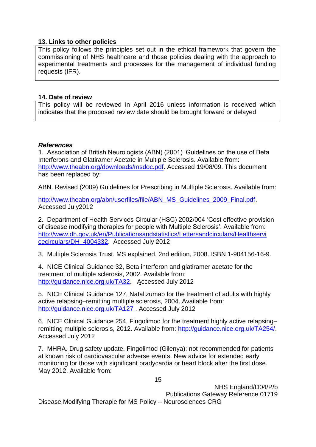#### <span id="page-14-0"></span>**13. Links to other policies**

This policy follows the principles set out in the ethical framework that govern the commissioning of NHS healthcare and those policies dealing with the approach to experimental treatments and processes for the management of individual funding requests (IFR).

#### <span id="page-14-1"></span>**14. Date of review**

This policy will be reviewed in April 2016 unless information is received which indicates that the proposed review date should be brought forward or delayed.

#### <span id="page-14-2"></span>*References*

1. Association of British Neurologists (ABN) (2001) 'Guidelines on the use of Beta Interferons and Glatiramer Acetate in Multiple Sclerosis. Available from: [http://www.theabn.org/downloads/msdoc.pdf.](http://www.theabn.org/downloads/msdoc.pdf) Accessed 19/08/09. This document has been replaced by:

ABN. Revised (2009) Guidelines for Prescribing in Multiple Sclerosis. Available from:

[http://www.theabn.org/abn/userfiles/file/ABN\\_MS\\_Guidelines\\_2009\\_Final.pdf.](http://www.theabn.org/abn/userfiles/file/ABN_MS_Guidelines_2009_Final.pdf) Accessed July2012

2. Department of Health Services Circular (HSC) 2002/004 'Cost effective provision of disease modifying therapies for people with Multiple Sclerosis'. Available from: [http://www.dh.gov.uk/en/Publicationsandstatistics/Lettersandcirculars/Healthservi](http://www.dh.gov.uk/en/Publicationsandstatistics/Lettersandcirculars/Healthservicecirculars/DH_4004332)  [cecirculars/DH\\_4004332.](http://www.dh.gov.uk/en/Publicationsandstatistics/Lettersandcirculars/Healthservicecirculars/DH_4004332) Accessed July 2012

3. Multiple Sclerosis Trust. MS explained. 2nd edition, 2008. ISBN 1-904156-16-9.

4. NICE Clinical Guidance 32, Beta interferon and glatiramer acetate for the treatment of multiple sclerosis, 2002. Available from: [http://guidance.nice.org.uk/TA32.](http://guidance.nice.org.uk/TA32) Accessed July 2012

5. NICE Clinical Guidance 127, Natalizumab for the treatment of adults with highly active relapsing–remitting multiple sclerosis, 2004. Available from: [http://guidance.nice.org.uk/TA127 .](http://guidance.nice.org.uk/TA127) Accessed July 2012

6. NICE Clinical Guidance 254, Fingolimod for the treatment highly active relapsing– remitting multiple sclerosis, 2012. Available from: [http://guidance.nice.org.uk/TA254/.](http://guidance.nice.org.uk/TA254/) Accessed July 2012

7. MHRA. Drug safety update. Fingolimod (Gilenya): not recommended for patients at known risk of cardiovascular adverse events. New advice for extended early monitoring for those with significant bradycardia or heart block after the first dose. May 2012. Available from: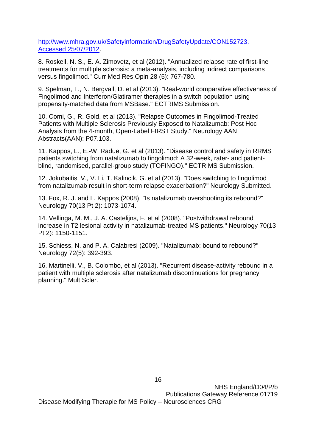[http://www.mhra.gov.uk/Safetyinformation/DrugSafetyUpdate/CON152723.](http://www.mhra.gov.uk/Safetyinformation/DrugSafetyUpdate/CON152723.%20Accessed%2025/07/2012) [Accessed 25/07/2012.](http://www.mhra.gov.uk/Safetyinformation/DrugSafetyUpdate/CON152723.%20Accessed%2025/07/2012)

8. Roskell, N. S., E. A. Zimovetz, et al (2012). "Annualized relapse rate of first-line treatments for multiple sclerosis: a meta-analysis, including indirect comparisons versus fingolimod." Curr Med Res Opin 28 (5): 767-780.

9. Spelman, T., N. Bergvall, D. et al (2013). "Real-world comparative effectiveness of Fingolimod and Interferon/Glatiramer therapies in a switch population using propensity-matched data from MSBase." ECTRIMS Submission.

10. Comi, G., R. Gold, et al (2013). "Relapse Outcomes in Fingolimod-Treated Patients with Multiple Sclerosis Previously Exposed to Natalizumab: Post Hoc Analysis from the 4-month, Open-Label FIRST Study." Neurology AAN Abstracts(AAN): P07.103.

11. Kappos, L., E.-W. Radue, G. et al (2013). "Disease control and safety in RRMS patients switching from natalizumab to fingolimod: A 32-week, rater- and patientblind, randomised, parallel-group study (TOFINGO)." ECTRIMS Submission.

12. Jokubaitis, V., V. Li, T. Kalincik, G. et al (2013). "Does switching to fingolimod from natalizumab result in short-term relapse exacerbation?" Neurology Submitted.

13. Fox, R. J. and L. Kappos (2008). "Is natalizumab overshooting its rebound?" Neurology 70(13 Pt 2): 1073-1074.

14. Vellinga, M. M., J. A. Castelijns, F. et al (2008). "Postwithdrawal rebound increase in T2 lesional activity in natalizumab-treated MS patients." Neurology 70(13 Pt 2): 1150-1151.

15. Schiess, N. and P. A. Calabresi (2009). "Natalizumab: bound to rebound?" Neurology 72(5): 392-393.

16. Martinelli, V., B. Colombo, et al (2013). "Recurrent disease-activity rebound in a patient with multiple sclerosis after natalizumab discontinuations for pregnancy planning." Mult Scler.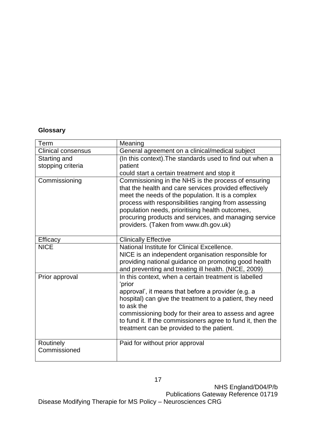# **Glossary**

| Term                      | Meaning                                                                                                                                                                                                                                                                                                                                                                         |
|---------------------------|---------------------------------------------------------------------------------------------------------------------------------------------------------------------------------------------------------------------------------------------------------------------------------------------------------------------------------------------------------------------------------|
| <b>Clinical consensus</b> | General agreement on a clinical/medical subject                                                                                                                                                                                                                                                                                                                                 |
| Starting and              | (In this context). The standards used to find out when a                                                                                                                                                                                                                                                                                                                        |
| stopping criteria         | patient                                                                                                                                                                                                                                                                                                                                                                         |
|                           | could start a certain treatment and stop it                                                                                                                                                                                                                                                                                                                                     |
| Commissioning             | Commissioning in the NHS is the process of ensuring<br>that the health and care services provided effectively<br>meet the needs of the population. It is a complex<br>process with responsibilities ranging from assessing<br>population needs, prioritising health outcomes,<br>procuring products and services, and managing service<br>providers. (Taken from www.dh.gov.uk) |
| Efficacy                  | <b>Clinically Effective</b>                                                                                                                                                                                                                                                                                                                                                     |
| <b>NICE</b>               | National Institute for Clinical Excellence.                                                                                                                                                                                                                                                                                                                                     |
|                           | NICE is an independent organisation responsible for                                                                                                                                                                                                                                                                                                                             |
|                           | providing national guidance on promoting good health                                                                                                                                                                                                                                                                                                                            |
|                           | and preventing and treating ill health. (NICE, 2009)                                                                                                                                                                                                                                                                                                                            |
| Prior approval            | In this context, when a certain treatment is labelled<br>'prior                                                                                                                                                                                                                                                                                                                 |
|                           | approval', it means that before a provider (e.g. a                                                                                                                                                                                                                                                                                                                              |
|                           | hospital) can give the treatment to a patient, they need                                                                                                                                                                                                                                                                                                                        |
|                           | to ask the                                                                                                                                                                                                                                                                                                                                                                      |
|                           | commissioning body for their area to assess and agree                                                                                                                                                                                                                                                                                                                           |
|                           | to fund it. If the commissioners agree to fund it, then the                                                                                                                                                                                                                                                                                                                     |
|                           | treatment can be provided to the patient.                                                                                                                                                                                                                                                                                                                                       |
| Routinely                 | Paid for without prior approval                                                                                                                                                                                                                                                                                                                                                 |
| Commissioned              |                                                                                                                                                                                                                                                                                                                                                                                 |
|                           |                                                                                                                                                                                                                                                                                                                                                                                 |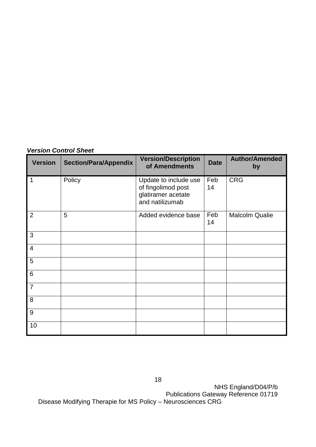# <span id="page-17-0"></span>*Version Control Sheet*

| <b>Version</b> | <b>Section/Para/Appendix</b> | <b>Version/Description</b><br>of Amendments                                          | <b>Date</b> | <b>Author/Amended</b><br>by |  |
|----------------|------------------------------|--------------------------------------------------------------------------------------|-------------|-----------------------------|--|
| 1              | Policy                       | Update to include use<br>of fingolimod post<br>glatiramer acetate<br>and natilizumab | Feb<br>14   | <b>CRG</b>                  |  |
| $\overline{2}$ | 5                            | Added evidence base                                                                  | Feb<br>14   | <b>Malcolm Qualie</b>       |  |
| 3              |                              |                                                                                      |             |                             |  |
| $\overline{4}$ |                              |                                                                                      |             |                             |  |
| 5              |                              |                                                                                      |             |                             |  |
| 6              |                              |                                                                                      |             |                             |  |
| $\overline{7}$ |                              |                                                                                      |             |                             |  |
| 8              |                              |                                                                                      |             |                             |  |
| 9              |                              |                                                                                      |             |                             |  |
| 10             |                              |                                                                                      |             |                             |  |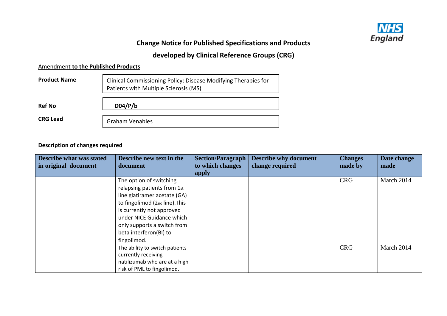

# **Change Notice for Published Specifications and Products**

# **developed by Clinical Reference Groups (CRG)**

#### Amendment **to the Published Products**

| <b>Product Name</b> | Clinical Commissioning Policy: Disease Modifying Therapies for<br>Patients with Multiple Sclerosis (MS) |  |  |
|---------------------|---------------------------------------------------------------------------------------------------------|--|--|
|                     |                                                                                                         |  |  |
| <b>Ref No</b>       | D04/P/b                                                                                                 |  |  |
|                     |                                                                                                         |  |  |
| <b>CRG Lead</b>     | <b>Graham Venables</b>                                                                                  |  |  |

#### **Description of changes required**

| <b>Describe what was stated</b> | Describe new text in the       | <b>Section/Paragraph</b> | <b>Describe why document</b> | <b>Changes</b> | Date change |
|---------------------------------|--------------------------------|--------------------------|------------------------------|----------------|-------------|
| in original document            | document                       | to which changes         | change required              | made by        | made        |
|                                 |                                | apply                    |                              |                |             |
|                                 | The option of switching        |                          |                              | <b>CRG</b>     | March 2014  |
|                                 | relapsing patients from 1st    |                          |                              |                |             |
|                                 | line glatiramer acetate (GA)   |                          |                              |                |             |
|                                 | to fingolimod (2nd line). This |                          |                              |                |             |
|                                 | is currently not approved      |                          |                              |                |             |
|                                 | under NICE Guidance which      |                          |                              |                |             |
|                                 | only supports a switch from    |                          |                              |                |             |
|                                 | beta interferon(BI) to         |                          |                              |                |             |
|                                 | fingolimod.                    |                          |                              |                |             |
|                                 | The ability to switch patients |                          |                              | <b>CRG</b>     | March 2014  |
|                                 | currently receiving            |                          |                              |                |             |
|                                 | natilizumab who are at a high  |                          |                              |                |             |
|                                 | risk of PML to fingolimod.     |                          |                              |                |             |